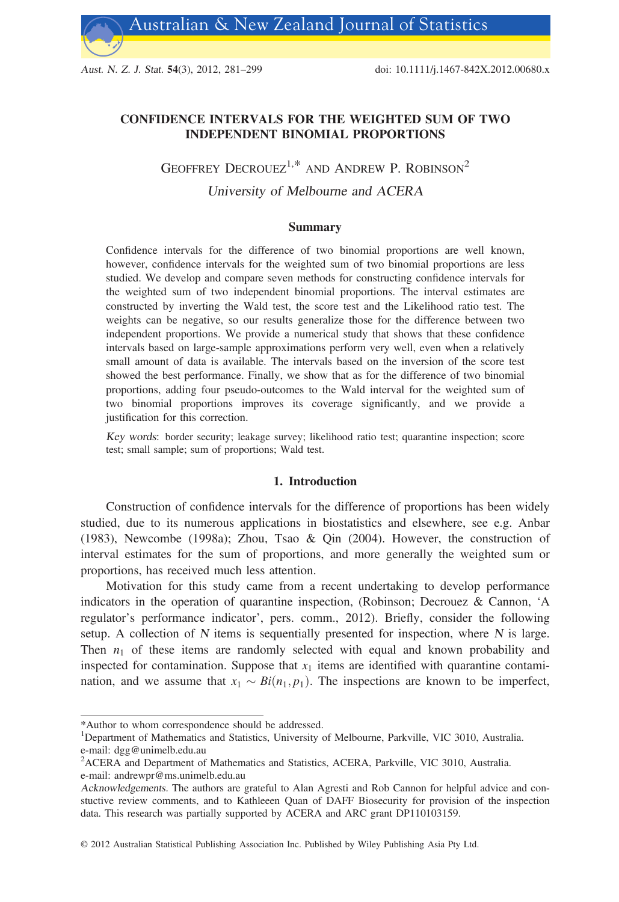Aust. N. Z. J. Stat. 54(3), 2012, 281–299 doi: 10.1111/j.1467-842X.2012.00680.x

# CONFIDENCE INTERVALS FOR THE WEIGHTED SUM OF TWO INDEPENDENT BINOMIAL PROPORTIONS

# GEOFFREY DECROUEZ<sup>1,\*</sup> AND ANDREW P. ROBINSON<sup>2</sup> University of Melbourne and ACERA

# Summary

Confidence intervals for the difference of two binomial proportions are well known, however, confidence intervals for the weighted sum of two binomial proportions are less studied. We develop and compare seven methods for constructing confidence intervals for the weighted sum of two independent binomial proportions. The interval estimates are constructed by inverting the Wald test, the score test and the Likelihood ratio test. The weights can be negative, so our results generalize those for the difference between two independent proportions. We provide a numerical study that shows that these confidence intervals based on large-sample approximations perform very well, even when a relatively small amount of data is available. The intervals based on the inversion of the score test showed the best performance. Finally, we show that as for the difference of two binomial proportions, adding four pseudo-outcomes to the Wald interval for the weighted sum of two binomial proportions improves its coverage significantly, and we provide a justification for this correction.

Key words: border security; leakage survey; likelihood ratio test; quarantine inspection; score test; small sample; sum of proportions; Wald test.

# 1. Introduction

Construction of confidence intervals for the difference of proportions has been widely studied, due to its numerous applications in biostatistics and elsewhere, see e.g. Anbar (1983), Newcombe (1998a); Zhou, Tsao & Qin (2004). However, the construction of interval estimates for the sum of proportions, and more generally the weighted sum or proportions, has received much less attention.

Motivation for this study came from a recent undertaking to develop performance indicators in the operation of quarantine inspection, (Robinson; Decrouez & Cannon, 'A regulator's performance indicator', pers. comm., 2012). Briefly, consider the following setup. A collection of  $N$  items is sequentially presented for inspection, where  $N$  is large. Then  $n_1$  of these items are randomly selected with equal and known probability and inspected for contamination. Suppose that  $x_1$  items are identified with quarantine contamination, and we assume that  $x_1 \sim Bi(n_1, p_1)$ . The inspections are known to be imperfect,

© 2012 Australian Statistical Publishing Association Inc. Published by Wiley Publishing Asia Pty Ltd.

<sup>\*</sup>Author to whom correspondence should be addressed.

<sup>&</sup>lt;sup>1</sup>Department of Mathematics and Statistics, University of Melbourne, Parkville, VIC 3010, Australia. e-mail: dgg@unimelb.edu.au

<sup>&</sup>lt;sup>2</sup>ACERA and Department of Mathematics and Statistics, ACERA, Parkville, VIC 3010, Australia.

e-mail: andrewpr@ms.unimelb.edu.au

Acknowledgements. The authors are grateful to Alan Agresti and Rob Cannon for helpful advice and constuctive review comments, and to Kathleeen Quan of DAFF Biosecurity for provision of the inspection data. This research was partially supported by ACERA and ARC grant DP110103159.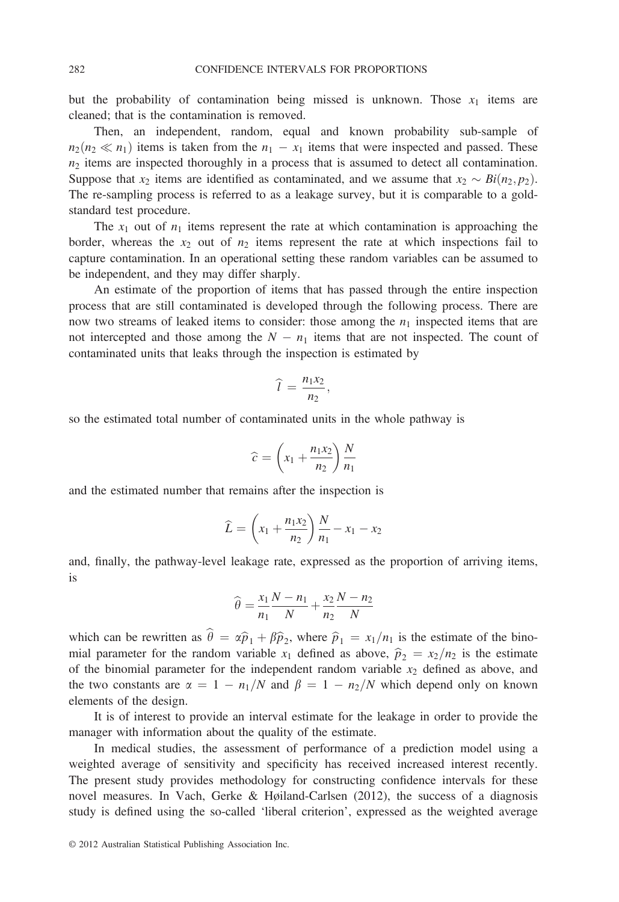but the probability of contamination being missed is unknown. Those  $x_1$  items are cleaned; that is the contamination is removed.

Then, an independent, random, equal and known probability sub-sample of  $n_2(n_2 \ll n_1)$  items is taken from the  $n_1 - x_1$  items that were inspected and passed. These  $n_2$  items are inspected thoroughly in a process that is assumed to detect all contamination. Suppose that  $x_2$  items are identified as contaminated, and we assume that  $x_2 \sim Bi(n_2, p_2)$ . The re-sampling process is referred to as a leakage survey, but it is comparable to a goldstandard test procedure.

The  $x_1$  out of  $n_1$  items represent the rate at which contamination is approaching the border, whereas the  $x_2$  out of  $n_2$  items represent the rate at which inspections fail to capture contamination. In an operational setting these random variables can be assumed to be independent, and they may differ sharply.

An estimate of the proportion of items that has passed through the entire inspection process that are still contaminated is developed through the following process. There are now two streams of leaked items to consider: those among the  $n_1$  inspected items that are not intercepted and those among the  $N - n_1$  items that are not inspected. The count of contaminated units that leaks through the inspection is estimated by

$$
\widehat{l}=\frac{n_1x_2}{n_2},
$$

so the estimated total number of contaminated units in the whole pathway is

$$
\widehat{c} = \left(x_1 + \frac{n_1 x_2}{n_2}\right) \frac{N}{n_1}
$$

and the estimated number that remains after the inspection is

$$
\widehat{L} = \left(x_1 + \frac{n_1 x_2}{n_2}\right) \frac{N}{n_1} - x_1 - x_2
$$

and, finally, the pathway-level leakage rate, expressed as the proportion of arriving items, is

$$
\widehat{\theta} = \frac{x_1}{n_1} \frac{N - n_1}{N} + \frac{x_2}{n_2} \frac{N - n_2}{N}
$$

which can be rewritten as  $\hat{\theta} = \alpha \hat{p}_1 + \beta \hat{p}_2$ , where  $\hat{p}_1 = x_1/n_1$  is the estimate of the binomial parameter for the random variable  $x_1$  defined as above,  $\hat{p}_2 = x_2/n_2$  is the estimate of the binomial parameter for the independent random variable  $x_2$  defined as above, and the two constants are  $\alpha = 1 - n_1/N$  and  $\beta = 1 - n_2/N$  which depend only on known elements of the design.

It is of interest to provide an interval estimate for the leakage in order to provide the manager with information about the quality of the estimate.

In medical studies, the assessment of performance of a prediction model using a weighted average of sensitivity and specificity has received increased interest recently. The present study provides methodology for constructing confidence intervals for these novel measures. In Vach, Gerke & Høiland-Carlsen (2012), the success of a diagnosis study is defined using the so-called 'liberal criterion', expressed as the weighted average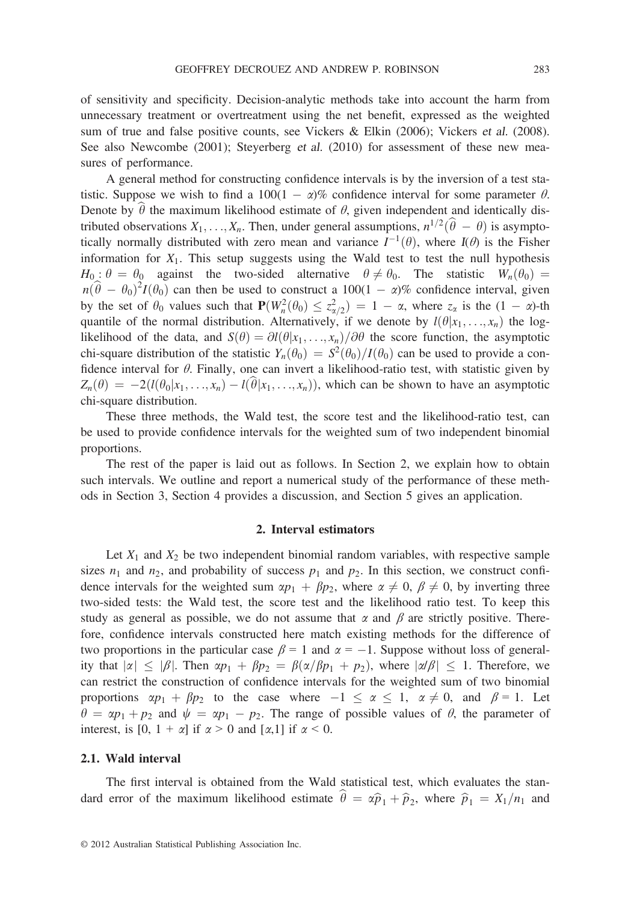of sensitivity and specificity. Decision-analytic methods take into account the harm from unnecessary treatment or overtreatment using the net benefit, expressed as the weighted sum of true and false positive counts, see Vickers & Elkin (2006); Vickers et al. (2008). See also Newcombe (2001); Steyerberg et al. (2010) for assessment of these new measures of performance.

A general method for constructing confidence intervals is by the inversion of a test statistic. Suppose we wish to find a 100(1 -  $\alpha$ )% confidence interval for some parameter  $\theta$ . Denote by  $\hat{\theta}$  the maximum likelihood estimate of  $\theta$ , given independent and identically distributed observations  $X_1, \ldots, X_n$ . Then, under general assumptions,  $n^{1/2}(\hat{\theta} - \theta)$  is asymptotically normally distributed with zero mean and variance  $I^{-1}(\theta)$ , where  $I(\theta)$  is the Fisher information for  $X_1$ . This setup suggests using the Wald test to test the null hypothesis  $H_0$ :  $\theta = \theta_0$  against the two-sided alternative  $\theta \neq \theta_0$ . The statistic  $W_n(\theta_0) =$  $n(\hat{\theta} - \theta_0)^2 I(\theta_0)$  can then be used to construct a  $100(1 - \alpha)\%$  confidence interval, given<br>by the set of  $\theta_0$  values such that  $\mathbf{P}(W^2(\theta_0) \leq \tau^2) = 1 - \alpha$  where z is the  $(1 - \alpha)$ -th by the set of  $\theta_0$  values such that  $\mathbf{P}(W_n^2(\theta_0) \leq z_{\alpha/2}^2) = 1 - \alpha$ , where  $z_\alpha$  is the  $(1 - \alpha)$ -th quantile of the normal distribution. Alternatively if we denote by  $l(\theta|x, \alpha, y)$  the logquantile of the normal distribution. Alternatively, if we denote by  $l(\theta|x_1, \ldots, x_n)$  the loglikelihood of the data, and  $S(\theta) = \partial l(\theta|x_1,\ldots,x_n)/\partial \theta$  the score function, the asymptotic chi-square distribution of the statistic  $Y_n(\theta_0) = S^2(\theta_0)/I(\theta_0)$  can be used to provide a confidence interval for  $\theta$ . Finally, one can invert a likelihood-ratio test, with statistic given by  $Z_n(\theta) = -2(l(\theta_0|x_1, \ldots, x_n) - l(\theta|x_1, \ldots, x_n))$ , which can be shown to have an asymptotic chi-square distribution.

These three methods, the Wald test, the score test and the likelihood-ratio test, can be used to provide confidence intervals for the weighted sum of two independent binomial proportions.

The rest of the paper is laid out as follows. In Section 2, we explain how to obtain such intervals. We outline and report a numerical study of the performance of these methods in Section 3, Section 4 provides a discussion, and Section 5 gives an application.

# 2. Interval estimators

Let  $X_1$  and  $X_2$  be two independent binomial random variables, with respective sample sizes  $n_1$  and  $n_2$ , and probability of success  $p_1$  and  $p_2$ . In this section, we construct confidence intervals for the weighted sum  $\alpha p_1 + \beta p_2$ , where  $\alpha \neq 0, \beta \neq 0$ , by inverting three two-sided tests: the Wald test, the score test and the likelihood ratio test. To keep this study as general as possible, we do not assume that  $\alpha$  and  $\beta$  are strictly positive. Therefore, confidence intervals constructed here match existing methods for the difference of two proportions in the particular case  $\beta = 1$  and  $\alpha = -1$ . Suppose without loss of generality that  $|\alpha| \leq |\beta|$ . Then  $\alpha p_1 + \beta p_2 = \beta(\alpha/\beta p_1 + p_2)$ , where  $|\alpha/\beta| \leq 1$ . Therefore, we can restrict the construction of confidence intervals for the weighted sum of two binomial proportions  $\alpha p_1 + \beta p_2$  to the case where  $-1 \le \alpha \le 1$ ,  $\alpha \ne 0$ , and  $\beta = 1$ . Let  $heta = \alpha p_1 + p_2$  and  $\psi = \alpha p_1 - p_2$ . The range of possible values of  $\theta$ , the parameter of interest, is  $[0, 1 + \alpha]$  if  $\alpha > 0$  and  $[\alpha, 1]$  if  $\alpha < 0$ .

# 2.1. Wald interval

The first interval is obtained from the Wald statistical test, which evaluates the standard error of the maximum likelihood estimate  $\hat{\theta} = \alpha \hat{p}_1 + \hat{p}_2$ , where  $\hat{p}_1 = X_1/n_1$  and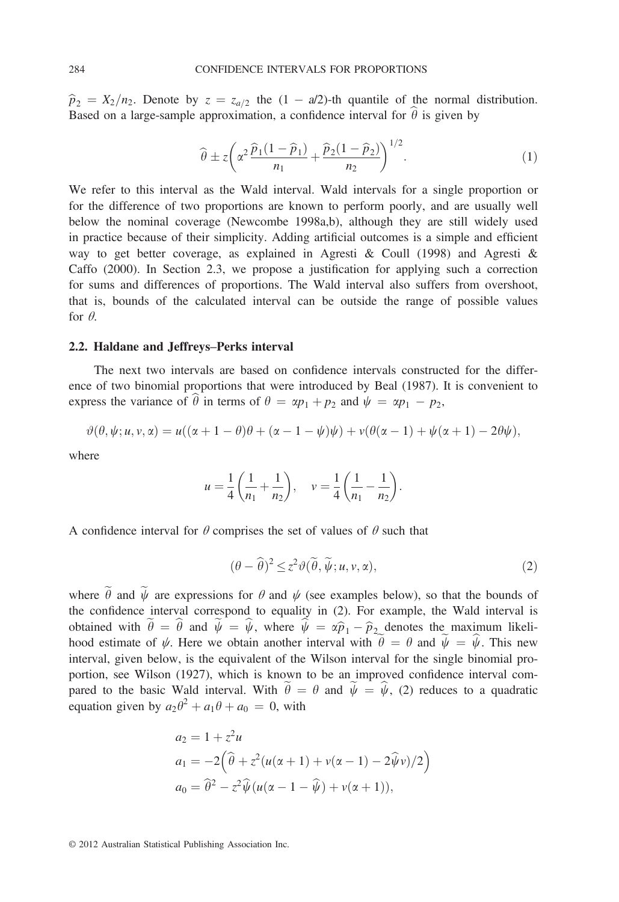$\hat{p}_2 = X_2/n_2$ . Denote by  $z = z_{a/2}$  the  $(1 - a/2)$ -th quantile of the normal distribution. Based on a large-sample approximation, a confidence interval for  $\hat{\theta}$  is given by

$$
\widehat{\theta} \pm z \left( \alpha^2 \frac{\widehat{p}_1 (1 - \widehat{p}_1)}{n_1} + \frac{\widehat{p}_2 (1 - \widehat{p}_2)}{n_2} \right)^{1/2} . \tag{1}
$$

We refer to this interval as the Wald interval. Wald intervals for a single proportion or for the difference of two proportions are known to perform poorly, and are usually well below the nominal coverage (Newcombe 1998a,b), although they are still widely used in practice because of their simplicity. Adding artificial outcomes is a simple and efficient way to get better coverage, as explained in Agresti & Coull (1998) and Agresti & Caffo (2000). In Section 2.3, we propose a justification for applying such a correction for sums and differences of proportions. The Wald interval also suffers from overshoot, that is, bounds of the calculated interval can be outside the range of possible values for  $\theta$ .

## 2.2. Haldane and Jeffreys–Perks interval

The next two intervals are based on confidence intervals constructed for the difference of two binomial proportions that were introduced by Beal (1987). It is convenient to express the variance of  $\theta$  in terms of  $\theta = \alpha p_1 + p_2$  and  $\psi = \alpha p_1 - p_2$ ,

$$
\vartheta(\theta,\psi;u,v,\alpha)=u((\alpha+1-\theta)\theta+(\alpha-1-\psi)\psi)+v(\theta(\alpha-1)+\psi(\alpha+1)-2\theta\psi),
$$

where

$$
u = \frac{1}{4} \left( \frac{1}{n_1} + \frac{1}{n_2} \right), \quad v = \frac{1}{4} \left( \frac{1}{n_1} - \frac{1}{n_2} \right).
$$

A confidence interval for  $\theta$  comprises the set of values of  $\theta$  such that

$$
(\theta - \widehat{\theta})^2 \le z^2 \vartheta(\widetilde{\theta}, \widetilde{\psi}; u, v, \alpha), \tag{2}
$$

where  $\tilde{\theta}$  and  $\tilde{\psi}$  are expressions for  $\theta$  and  $\psi$  (see examples below), so that the bounds of the confidence interval correspond to equality in (2). For example, the Wald interval is obtained with  $\tilde{\theta} = \hat{\theta}$  and  $\tilde{\psi} = \hat{\psi}$ , where  $\hat{\psi} = \alpha \hat{p}_1 - \hat{p}_2$  denotes the maximum likelihood estimate of  $\psi$ . Here we obtain another interval with  $\theta = \theta$  and  $\psi = \psi$ . This new interval, given below, is the equivalent of the Wilson interval for the single binomial proportion, see Wilson (1927), which is known to be an improved confidence interval compared to the basic Wald interval. With  $\tilde{\theta} = \theta$  and  $\tilde{\psi} = \hat{\psi}$ , (2) reduces to a quadratic equation given by  $a_2\theta^2 + a_1\theta + a_0 = 0$ , with

$$
a_2 = 1 + z^2 u
$$
  
\n
$$
a_1 = -2(\hat{\theta} + z^2(u(\alpha + 1) + v(\alpha - 1) - 2\hat{\psi}v)/2)
$$
  
\n
$$
a_0 = \hat{\theta}^2 - z^2 \hat{\psi}(u(\alpha - 1 - \hat{\psi}) + v(\alpha + 1)),
$$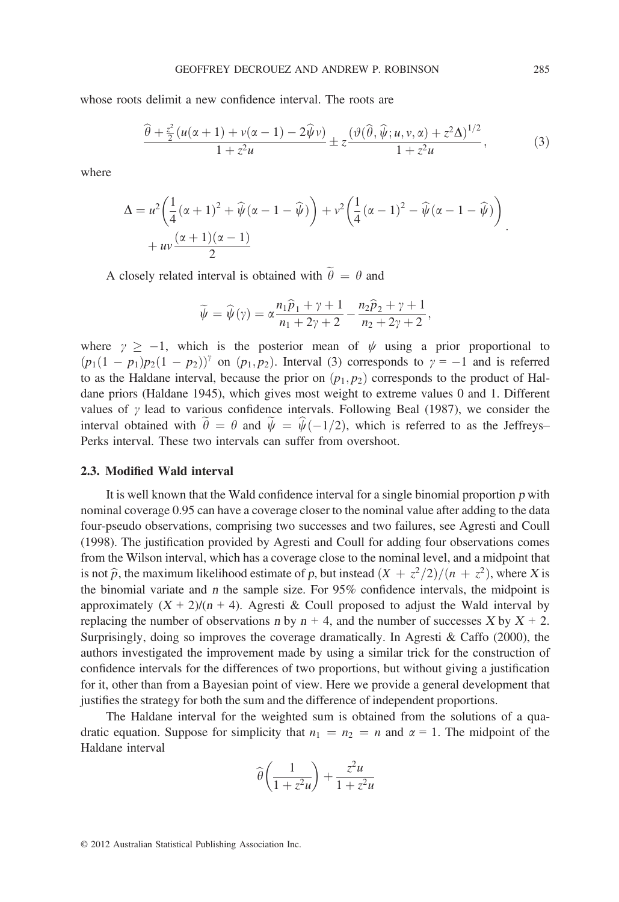whose roots delimit a new confidence interval. The roots are

$$
\frac{\widehat{\theta} + \frac{z^2}{2} (u(\alpha + 1) + v(\alpha - 1) - 2\widehat{\psi}\nu)}{1 + z^2 u} \pm z \frac{(\vartheta(\widehat{\theta}, \widehat{\psi}; u, v, \alpha) + z^2 \Delta)^{1/2}}{1 + z^2 u},
$$
(3)

where

$$
\Delta = u^2 \left( \frac{1}{4} (\alpha + 1)^2 + \widehat{\psi} (\alpha - 1 - \widehat{\psi}) \right) + v^2 \left( \frac{1}{4} (\alpha - 1)^2 - \widehat{\psi} (\alpha - 1 - \widehat{\psi}) \right) + uv \frac{(\alpha + 1)(\alpha - 1)}{2}
$$

A closely related interval is obtained with  $\widetilde{\theta} = \theta$  and

$$
\widetilde{\psi} = \widehat{\psi}(\gamma) = \alpha \frac{n_1 \widehat{p}_1 + \gamma + 1}{n_1 + 2\gamma + 2} - \frac{n_2 \widehat{p}_2 + \gamma + 1}{n_2 + 2\gamma + 2},
$$

where  $\gamma \ge -1$ , which is the posterior mean of  $\psi$  using a prior proportional to  $(p_1(1 - p_1)p_2(1 - p_2))^{\gamma}$  on  $(p_1, p_2)$ . Interval (3) corresponds to  $\gamma = -1$  and is referred to as the Haldane interval, because the prior on  $(p_1, p_2)$  corresponds to the product of Haldane priors (Haldane 1945), which gives most weight to extreme values 0 and 1. Different values of  $\gamma$  lead to various confidence intervals. Following Beal (1987), we consider the interval obtained with  $\theta = \theta$  and  $\psi = \psi(-1/2)$ , which is referred to as the Jeffreys– Perks interval. These two intervals can suffer from overshoot.

# 2.3. Modified Wald interval

It is well known that the Wald confidence interval for a single binomial proportion  $p$  with nominal coverage 0.95 can have a coverage closer to the nominal value after adding to the data four-pseudo observations, comprising two successes and two failures, see Agresti and Coull (1998). The justification provided by Agresti and Coull for adding four observations comes from the Wilson interval, which has a coverage close to the nominal level, and a midpoint that is not  $\hat{p}$ , the maximum likelihood estimate of p, but instead  $(X + z^2/2)/(n + z^2)$ , where X is the binomial variate and <sup>n</sup> the sample size. For 95% confidence intervals, the midpoint is approximately  $(X + 2)/(n + 4)$ . Agresti & Coull proposed to adjust the Wald interval by replacing the number of observations n by  $n + 4$ , and the number of successes X by  $X + 2$ . Surprisingly, doing so improves the coverage dramatically. In Agresti & Caffo  $(2000)$ , the authors investigated the improvement made by using a similar trick for the construction of confidence intervals for the differences of two proportions, but without giving a justification for it, other than from a Bayesian point of view. Here we provide a general development that justifies the strategy for both the sum and the difference of independent proportions.

The Haldane interval for the weighted sum is obtained from the solutions of a quadratic equation. Suppose for simplicity that  $n_1 = n_2 = n$  and  $\alpha = 1$ . The midpoint of the Haldane interval

$$
\widehat{\theta}\left(\frac{1}{1+z^2u}\right) + \frac{z^2u}{1+z^2u}
$$

: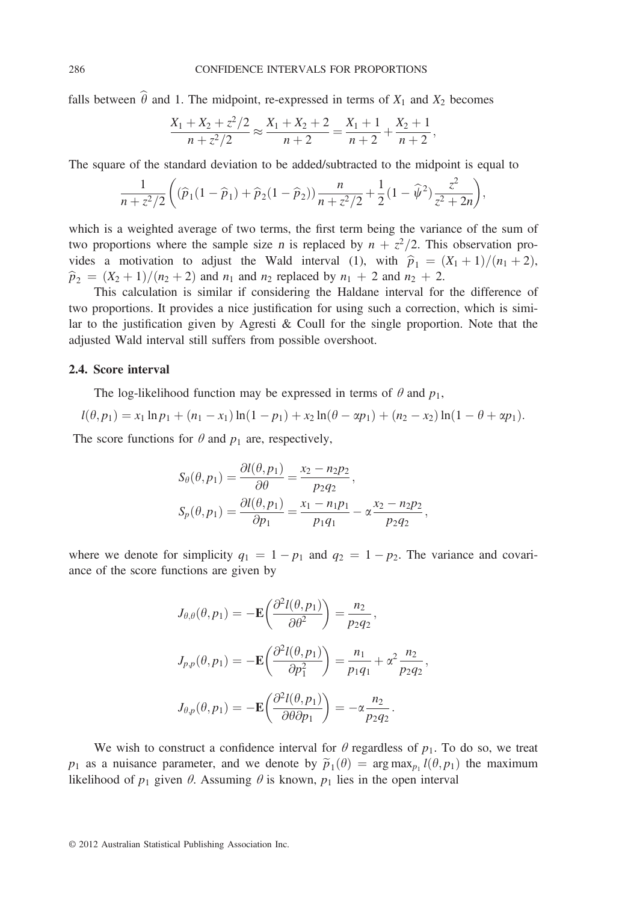falls between  $\hat{\theta}$  and 1. The midpoint, re-expressed in terms of  $X_1$  and  $X_2$  becomes

$$
\frac{X_1 + X_2 + z^2/2}{n + z^2/2} \approx \frac{X_1 + X_2 + 2}{n + 2} = \frac{X_1 + 1}{n + 2} + \frac{X_2 + 1}{n + 2},
$$

The square of the standard deviation to be added/subtracted to the midpoint is equal to

$$
\frac{1}{n+z^2/2}\bigg((\widehat{p}_1(1-\widehat{p}_1)+\widehat{p}_2(1-\widehat{p}_2))\frac{n}{n+z^2/2}+\frac{1}{2}(1-\widehat{\psi}^2)\frac{z^2}{z^2+2n}\bigg),\,
$$

which is a weighted average of two terms, the first term being the variance of the sum of two proportions where the sample size *n* is replaced by  $n + z^2/2$ . This observation provides a motivation to adjust the Wald interval (1), with  $\hat{p}_1 = (X_1 + 1)/(n_1 + 2)$ ,  $\hat{p}_2 = (X_2 + 1)/(n_2 + 2)$  and  $n_1$  and  $n_2$  replaced by  $n_1 + 2$  and  $n_2 + 2$ .

This calculation is similar if considering the Haldane interval for the difference of two proportions. It provides a nice justification for using such a correction, which is similar to the justification given by Agresti & Coull for the single proportion. Note that the adjusted Wald interval still suffers from possible overshoot.

# 2.4. Score interval

The log-likelihood function may be expressed in terms of  $\theta$  and  $p_1$ ,

$$
l(\theta, p_1) = x_1 \ln p_1 + (n_1 - x_1) \ln(1 - p_1) + x_2 \ln(\theta - \alpha p_1) + (n_2 - x_2) \ln(1 - \theta + \alpha p_1).
$$

The score functions for  $\theta$  and  $p_1$  are, respectively,

$$
S_{\theta}(\theta, p_1) = \frac{\partial l(\theta, p_1)}{\partial \theta} = \frac{x_2 - n_2 p_2}{p_2 q_2},
$$
  
\n
$$
S_p(\theta, p_1) = \frac{\partial l(\theta, p_1)}{\partial p_1} = \frac{x_1 - n_1 p_1}{p_1 q_1} - \alpha \frac{x_2 - n_2 p_2}{p_2 q_2},
$$

where we denote for simplicity  $q_1 = 1 - p_1$  and  $q_2 = 1 - p_2$ . The variance and covariance of the score functions are given by

$$
J_{\theta,\theta}(\theta, p_1) = -\mathbf{E}\left(\frac{\partial^2 l(\theta, p_1)}{\partial \theta^2}\right) = \frac{n_2}{p_2 q_2},
$$
  

$$
J_{p,p}(\theta, p_1) = -\mathbf{E}\left(\frac{\partial^2 l(\theta, p_1)}{\partial p_1^2}\right) = \frac{n_1}{p_1 q_1} + \alpha^2 \frac{n_2}{p_2 q_2},
$$
  

$$
J_{\theta,p}(\theta, p_1) = -\mathbf{E}\left(\frac{\partial^2 l(\theta, p_1)}{\partial \theta \partial p_1}\right) = -\alpha \frac{n_2}{p_2 q_2}.
$$

We wish to construct a confidence interval for  $\theta$  regardless of  $p_1$ . To do so, we treat  $p_1$  as a nuisance parameter, and we denote by  $\tilde{p}_1(\theta) = \arg \max_{p_1} l(\theta, p_1)$  the maximum likelihood of  $p_1$  given  $\theta$ . Assuming  $\theta$  is known,  $p_1$  lies in the open interval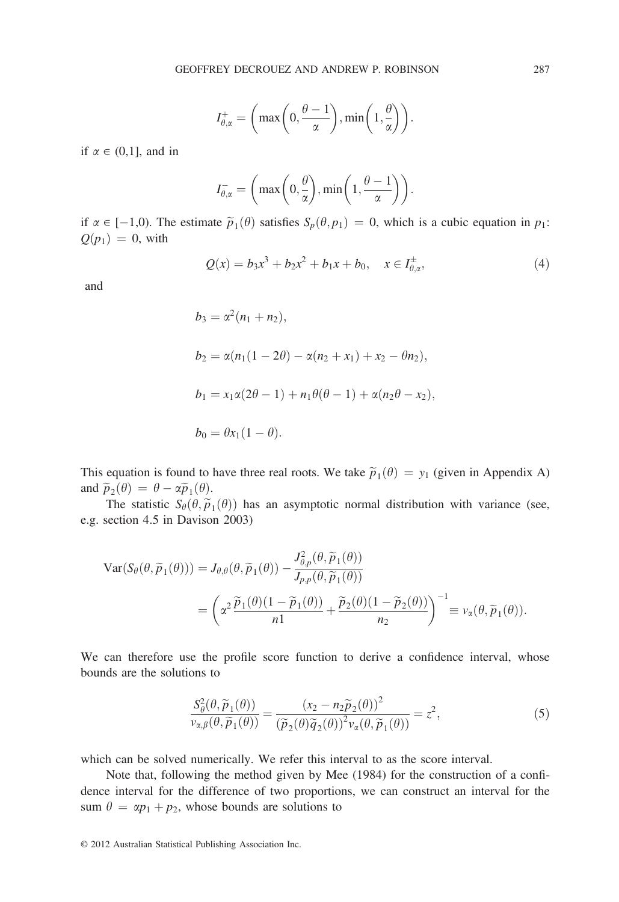$$
I_{\theta,\alpha}^+ = \left(\max\left(0, \frac{\theta-1}{\alpha}\right), \min\left(1, \frac{\theta}{\alpha}\right)\right).
$$

if  $\alpha \in (0,1]$ , and in

$$
I_{\theta,\alpha}^- = \left(\max\left(0,\frac{\theta}{\alpha}\right),\min\left(1,\frac{\theta-1}{\alpha}\right)\right).
$$

if  $\alpha \in [-1,0)$ . The estimate  $\widetilde{p}_1(\theta)$  satisfies  $S_p(\theta, p_1) = 0$ , which is a cubic equation in  $p_1$ :  $Q(p_1) = 0$ , with

$$
Q(x) = b_3 x^3 + b_2 x^2 + b_1 x + b_0, \quad x \in I_{\theta, \alpha}^{\pm}, \tag{4}
$$

and

$$
b_3 = \alpha^2 (n_1 + n_2),
$$
  
\n
$$
b_2 = \alpha (n_1 (1 - 2\theta) - \alpha (n_2 + x_1) + x_2 - \theta n_2),
$$
  
\n
$$
b_1 = x_1 \alpha (2\theta - 1) + n_1 \theta (\theta - 1) + \alpha (n_2 \theta - x_2),
$$
  
\n
$$
b_0 = \theta x_1 (1 - \theta).
$$

This equation is found to have three real roots. We take  $\tilde{p}_1(\theta) = y_1$  (given in Appendix A) and  $\widetilde{p}_2(\theta) = \theta - \alpha \widetilde{p}_1(\theta)$ .

The statistic  $S_\theta(\theta, \tilde{p}_1(\theta))$  has an asymptotic normal distribution with variance (see, e.g. section 4.5 in Davison 2003)

$$
\operatorname{Var}(S_{\theta}(\theta, \widetilde{p}_1(\theta))) = J_{\theta, \theta}(\theta, \widetilde{p}_1(\theta)) - \frac{J_{\theta, p}^2(\theta, \widetilde{p}_1(\theta))}{J_{p, p}(\theta, \widetilde{p}_1(\theta))} \n= \left( \alpha^2 \frac{\widetilde{p}_1(\theta)(1 - \widetilde{p}_1(\theta))}{n!} + \frac{\widetilde{p}_2(\theta)(1 - \widetilde{p}_2(\theta))}{n_2} \right)^{-1} \equiv v_{\alpha}(\theta, \widetilde{p}_1(\theta)).
$$

We can therefore use the profile score function to derive a confidence interval, whose bounds are the solutions to

$$
\frac{S_{\theta}^{2}(\theta,\widetilde{p}_{1}(\theta))}{v_{\alpha,\beta}(\theta,\widetilde{p}_{1}(\theta))} = \frac{(x_{2} - n_{2}\widetilde{p}_{2}(\theta))^{2}}{(\widetilde{p}_{2}(\theta)\widetilde{q}_{2}(\theta))^{2}v_{\alpha}(\theta,\widetilde{p}_{1}(\theta))} = z^{2},
$$
\n(5)

which can be solved numerically. We refer this interval to as the score interval.

Note that, following the method given by Mee (1984) for the construction of a confidence interval for the difference of two proportions, we can construct an interval for the sum  $\theta = \alpha p_1 + p_2$ , whose bounds are solutions to

<sup>© 2012</sup> Australian Statistical Publishing Association Inc.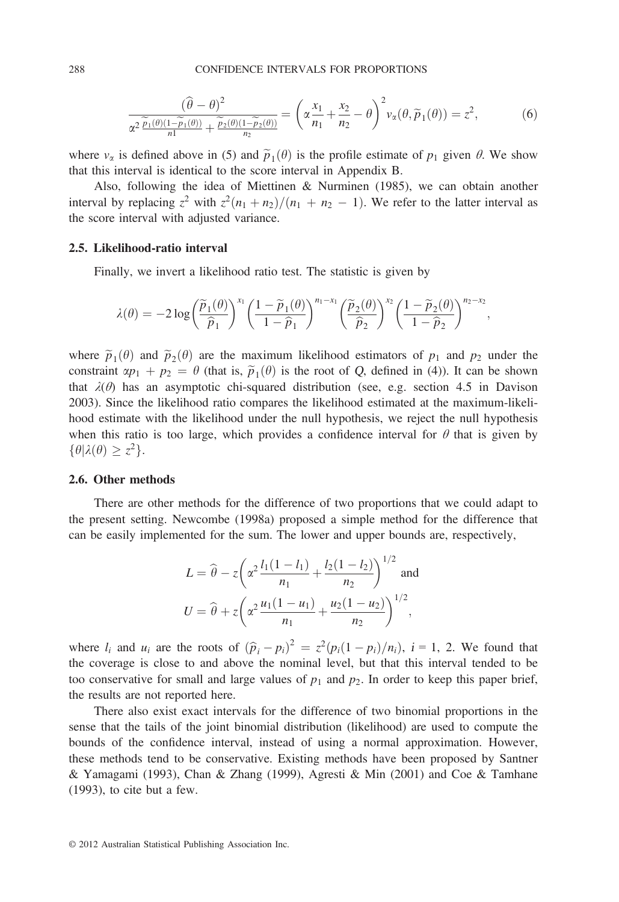$$
\frac{(\hat{\theta} - \theta)^2}{\alpha^2 \frac{\widetilde{p}_1(\theta)(1 - \widetilde{p}_1(\theta))}{n!} + \frac{\widetilde{p}_2(\theta)(1 - \widetilde{p}_2(\theta))}{n_2}} = \left(\alpha \frac{x_1}{n_1} + \frac{x_2}{n_2} - \theta\right)^2 v_\alpha(\theta, \widetilde{p}_1(\theta)) = z^2,
$$
\n(6)

where  $v_{\alpha}$  is defined above in (5) and  $\tilde{p}_1(\theta)$  is the profile estimate of  $p_1$  given  $\theta$ . We show that this interval is identical to the score interval in Appendix B.

Also, following the idea of Miettinen & Nurminen (1985), we can obtain another interval by replacing  $z^2$  with  $z^2(n_1 + n_2)/(n_1 + n_2 - 1)$ . We refer to the latter interval as the score interval with adjusted variance.

# 2.5. Likelihood-ratio interval

Finally, we invert a likelihood ratio test. The statistic is given by

$$
\lambda(\theta) = -2\log\left(\frac{\widetilde{p}_1(\theta)}{\widehat{p}_1}\right)^{x_1} \left(\frac{1-\widetilde{p}_1(\theta)}{1-\widehat{p}_1}\right)^{n_1-x_1} \left(\frac{\widetilde{p}_2(\theta)}{\widehat{p}_2}\right)^{x_2} \left(\frac{1-\widetilde{p}_2(\theta)}{1-\widehat{p}_2}\right)^{n_2-x_2},
$$

where  $\tilde{p}_1(\theta)$  and  $\tilde{p}_2(\theta)$  are the maximum likelihood estimators of  $p_1$  and  $p_2$  under the constraint  $\alpha p_1 + p_2 = \theta$  (that is,  $\tilde{p}_1(\theta)$  is the root of Q, defined in (4)). It can be shown that  $\lambda(\theta)$  has an asymptotic chi-squared distribution (see, e.g. section 4.5 in Davison 2003). Since the likelihood ratio compares the likelihood estimated at the maximum-likelihood estimate with the likelihood under the null hypothesis, we reject the null hypothesis when this ratio is too large, which provides a confidence interval for  $\theta$  that is given by  $\{\theta | \lambda(\theta) \geq z^2\}.$ 

# 2.6. Other methods

There are other methods for the difference of two proportions that we could adapt to the present setting. Newcombe (1998a) proposed a simple method for the difference that can be easily implemented for the sum. The lower and upper bounds are, respectively,

$$
L = \hat{\theta} - z \left( \alpha^2 \frac{l_1(1 - l_1)}{n_1} + \frac{l_2(1 - l_2)}{n_2} \right)^{1/2} \text{ and}
$$
  

$$
U = \hat{\theta} + z \left( \alpha^2 \frac{u_1(1 - u_1)}{n_1} + \frac{u_2(1 - u_2)}{n_2} \right)^{1/2},
$$

where  $l_i$  and  $u_i$  are the roots of  $(\hat{p}_i - p_i)^2 = z^2 (p_i(1 - p_i)/n_i)$ ,  $i = 1, 2$ . We found that the coverage is close to and above the nominal level, but that this interval tended to be too conservative for small and large values of  $p_1$  and  $p_2$ . In order to keep this paper brief, the results are not reported here.

There also exist exact intervals for the difference of two binomial proportions in the sense that the tails of the joint binomial distribution (likelihood) are used to compute the bounds of the confidence interval, instead of using a normal approximation. However, these methods tend to be conservative. Existing methods have been proposed by Santner & Yamagami (1993), Chan & Zhang (1999), Agresti & Min (2001) and Coe & Tamhane (1993), to cite but a few.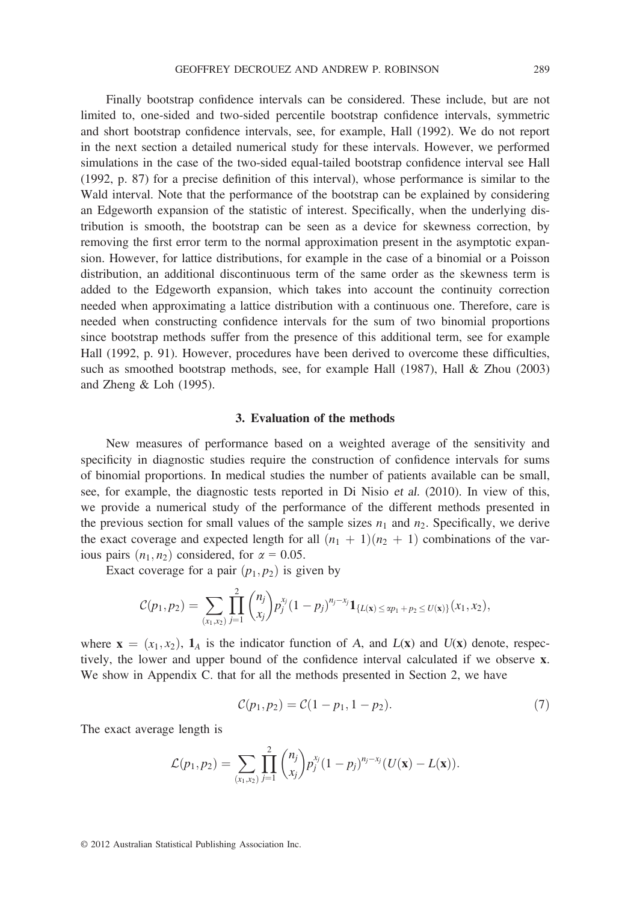Finally bootstrap confidence intervals can be considered. These include, but are not limited to, one-sided and two-sided percentile bootstrap confidence intervals, symmetric and short bootstrap confidence intervals, see, for example, Hall (1992). We do not report in the next section a detailed numerical study for these intervals. However, we performed simulations in the case of the two-sided equal-tailed bootstrap confidence interval see Hall (1992, p. 87) for a precise definition of this interval), whose performance is similar to the Wald interval. Note that the performance of the bootstrap can be explained by considering an Edgeworth expansion of the statistic of interest. Specifically, when the underlying distribution is smooth, the bootstrap can be seen as a device for skewness correction, by removing the first error term to the normal approximation present in the asymptotic expansion. However, for lattice distributions, for example in the case of a binomial or a Poisson distribution, an additional discontinuous term of the same order as the skewness term is added to the Edgeworth expansion, which takes into account the continuity correction needed when approximating a lattice distribution with a continuous one. Therefore, care is needed when constructing confidence intervals for the sum of two binomial proportions since bootstrap methods suffer from the presence of this additional term, see for example Hall (1992, p. 91). However, procedures have been derived to overcome these difficulties, such as smoothed bootstrap methods, see, for example Hall (1987), Hall & Zhou (2003) and Zheng & Loh (1995).

#### 3. Evaluation of the methods

New measures of performance based on a weighted average of the sensitivity and specificity in diagnostic studies require the construction of confidence intervals for sums of binomial proportions. In medical studies the number of patients available can be small, see, for example, the diagnostic tests reported in Di Nisio et al. (2010). In view of this, we provide a numerical study of the performance of the different methods presented in the previous section for small values of the sample sizes  $n_1$  and  $n_2$ . Specifically, we derive the exact coverage and expected length for all  $(n_1 + 1)(n_2 + 1)$  combinations of the various pairs  $(n_1, n_2)$  considered, for  $\alpha = 0.05$ .

Exact coverage for a pair  $(p_1, p_2)$  is given by

$$
C(p_1,p_2)=\sum_{(x_1,x_2)}\prod_{j=1}^2\binom{n_j}{x_j}p_j^{x_j}(1-p_j)^{n_j-x_j}\mathbf{1}_{\{L(\mathbf{x})\leq xp_1+p_2\leq U(\mathbf{x})\}}(x_1,x_2),
$$

where  $\mathbf{x} = (x_1, x_2)$ ,  $\mathbf{1}_A$  is the indicator function of A, and  $L(\mathbf{x})$  and  $U(\mathbf{x})$  denote, respectively, the lower and upper bound of the confidence interval calculated if we observe x. We show in Appendix C. that for all the methods presented in Section 2, we have

$$
C(p_1, p_2) = C(1 - p_1, 1 - p_2). \tag{7}
$$

The exact average length is

$$
\mathcal{L}(p_1,p_2)=\sum_{(x_1,x_2)}\prod_{j=1}^2\binom{n_j}{x_j}p_j^{x_j}(1-p_j)^{n_j-x_j}(U(\mathbf{x})-L(\mathbf{x})).
$$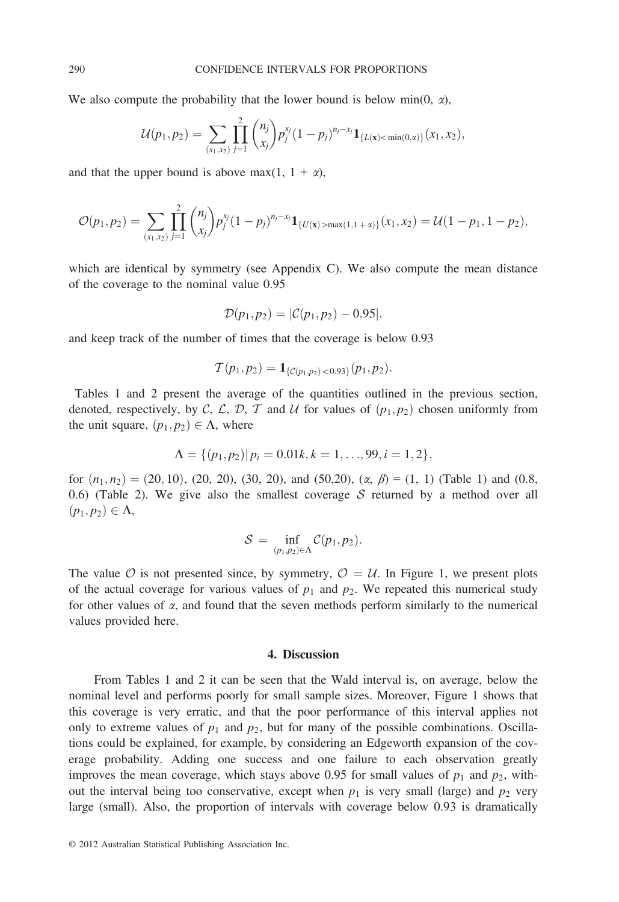We also compute the probability that the lower bound is below min(0,  $\alpha$ ),

$$
\mathcal{U}(p_1,p_2)=\sum_{(x_1,x_2)}\prod_{j=1}^2\binom{n_j}{x_j}p_j^{x_j}(1-p_j)^{n_j-x_j}\mathbf{1}_{\{L(\mathbf{x})<\min(0,x)\}}(x_1,x_2),
$$

and that the upper bound is above max $(1, 1 + \alpha)$ ,

$$
\mathcal{O}(p_1,p_2)=\sum_{(x_1,x_2)}\prod_{j=1}^2\binom{n_j}{x_j}p_j^{x_j}(1-p_j)^{n_j-x_j}\mathbf{1}_{\{U(\mathbf{x})>\max(1,1+\alpha)\}}(x_1,x_2)=\mathcal{U}(1-p_1,1-p_2),
$$

which are identical by symmetry (see Appendix C). We also compute the mean distance of the coverage to the nominal value 0.95

$$
\mathcal{D}(p_1,p_2)=|\mathcal{C}(p_1,p_2)-0.95|.
$$

and keep track of the number of times that the coverage is below 0.93

$$
\mathcal{T}(p_1,p_2) = \mathbf{1}_{\{\mathcal{C}(p_1,p_2) < 0.93\}}(p_1,p_2).
$$

Tables 1 and 2 present the average of the quantities outlined in the previous section, denoted, respectively, by C, C, D, T and U for values of  $(p_1, p_2)$  chosen uniformly from the unit square,  $(p_1, p_2) \in \Lambda$ , where

$$
\Lambda = \{ (p_1, p_2) | p_i = 0.01k, k = 1, ..., 99, i = 1, 2 \},\
$$

for  $(n_1, n_2) = (20, 10)$ ,  $(20, 20)$ ,  $(30, 20)$ , and  $(50, 20)$ ,  $(\alpha, \beta) = (1, 1)$  (Table 1) and (0.8, 0.6) (Table 2). We give also the smallest coverage  $S$  returned by a method over all  $(p_1, p_2) \in \Lambda$ ,

$$
S = \inf_{(p_1,p_2)\in\Lambda} C(p_1,p_2).
$$

The value O is not presented since, by symmetry,  $\mathcal{O} = \mathcal{U}$ . In Figure 1, we present plots of the actual coverage for various values of  $p_1$  and  $p_2$ . We repeated this numerical study for other values of  $\alpha$ , and found that the seven methods perform similarly to the numerical values provided here.

# 4. Discussion

From Tables 1 and 2 it can be seen that the Wald interval is, on average, below the nominal level and performs poorly for small sample sizes. Moreover, Figure 1 shows that this coverage is very erratic, and that the poor performance of this interval applies not only to extreme values of  $p_1$  and  $p_2$ , but for many of the possible combinations. Oscillations could be explained, for example, by considering an Edgeworth expansion of the coverage probability. Adding one success and one failure to each observation greatly improves the mean coverage, which stays above 0.95 for small values of  $p_1$  and  $p_2$ , without the interval being too conservative, except when  $p_1$  is very small (large) and  $p_2$  very large (small). Also, the proportion of intervals with coverage below 0.93 is dramatically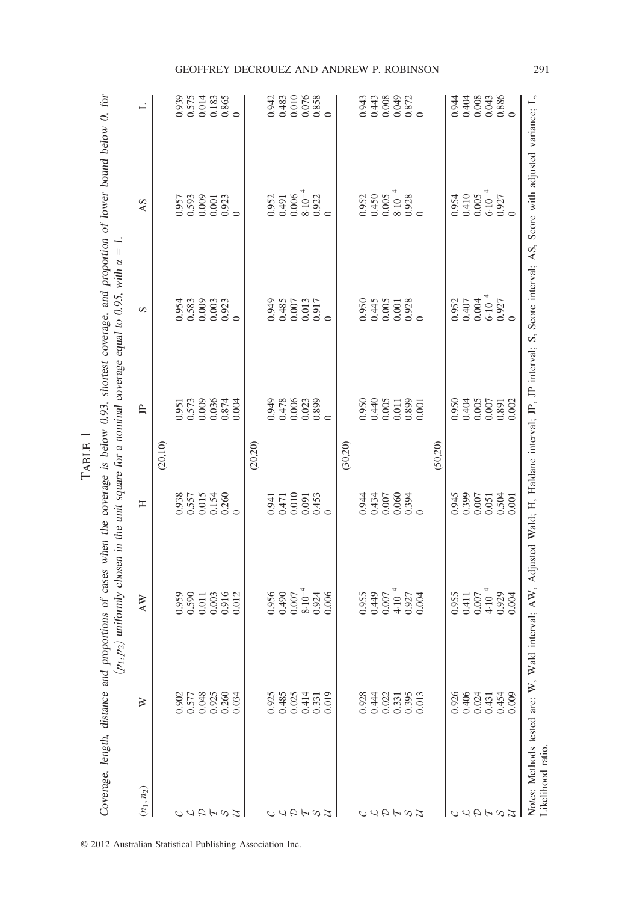| $0.9478$<br>$0.478$<br>$0.0023$<br>$0.003$<br>$0.003$<br>0.950<br>0.440<br>0.001<br>0.000<br>0.000<br>0.951<br>0.573<br>0.000<br>0.036<br>0.000<br>白<br>(20, 20)<br>(20, 10)<br>(30,20)<br>(50, 20)<br>0.938<br>0.557<br>0.0154<br>0.0260<br>$\begin{array}{c} 0.941 \\ 0.471 \\ 0.010 \\ 0.091 \\ 0.453 \\ 0.453 \end{array}$<br>$0.434$<br>$0.435$<br>$0.600$<br>$0.354$<br>$0.434$<br>Ξ<br>$\begin{array}{c} 449 \\ 0.007 \\ 0.01 \\ -1.07 \\ 0.004 \\ 0.004 \end{array}$<br>$8.10^{-4}$<br>0.956<br>0.490<br>0.007<br>$\begin{array}{c} 0.959 \\ 0.590 \\ 0.011 \\ 0.003 \\ 0.916 \\ 0.012 \end{array}$<br>0.955<br>0.924<br>$\mathop{\mathsf{AW}}$<br>0.048<br>0.925<br>0.260<br>0.034<br>0.485<br>0.025<br>0.331<br>$\begin{array}{c} 0.331 \\ 0.395 \\ 0.013 \end{array}$<br>0.577<br>0.925<br>0.414<br>0.928<br>0.444<br>0.022<br>0.902<br>⋧<br>$(n_1, n_2)$<br>auahaz<br>しょうてるい<br>しょうてるい |                                                                                        | S                                                                                 | AS                                                                                   |                                                                                   |
|----------------------------------------------------------------------------------------------------------------------------------------------------------------------------------------------------------------------------------------------------------------------------------------------------------------------------------------------------------------------------------------------------------------------------------------------------------------------------------------------------------------------------------------------------------------------------------------------------------------------------------------------------------------------------------------------------------------------------------------------------------------------------------------------------------------------------------------------------------------------------------------------------|----------------------------------------------------------------------------------------|-----------------------------------------------------------------------------------|--------------------------------------------------------------------------------------|-----------------------------------------------------------------------------------|
|                                                                                                                                                                                                                                                                                                                                                                                                                                                                                                                                                                                                                                                                                                                                                                                                                                                                                                    |                                                                                        |                                                                                   |                                                                                      | $\overline{\phantom{0}}$                                                          |
|                                                                                                                                                                                                                                                                                                                                                                                                                                                                                                                                                                                                                                                                                                                                                                                                                                                                                                    |                                                                                        |                                                                                   |                                                                                      |                                                                                   |
|                                                                                                                                                                                                                                                                                                                                                                                                                                                                                                                                                                                                                                                                                                                                                                                                                                                                                                    |                                                                                        |                                                                                   |                                                                                      |                                                                                   |
|                                                                                                                                                                                                                                                                                                                                                                                                                                                                                                                                                                                                                                                                                                                                                                                                                                                                                                    |                                                                                        | 0.954<br>0.583<br>0.009                                                           |                                                                                      |                                                                                   |
|                                                                                                                                                                                                                                                                                                                                                                                                                                                                                                                                                                                                                                                                                                                                                                                                                                                                                                    |                                                                                        |                                                                                   |                                                                                      |                                                                                   |
|                                                                                                                                                                                                                                                                                                                                                                                                                                                                                                                                                                                                                                                                                                                                                                                                                                                                                                    |                                                                                        | $\begin{array}{c} 0.003 \\ 0.923 \\ 0 \end{array}$                                | $\begin{array}{c} 0.957 \\ 0.593 \\ 0.000 \\ 0.001 \\ 0.923 \\ 0.923 \\ \end{array}$ | $\begin{array}{c} 0.939 \\ 0.575 \\ 0.014 \\ 0.183 \\ 0.865 \\ 0.865 \end{array}$ |
|                                                                                                                                                                                                                                                                                                                                                                                                                                                                                                                                                                                                                                                                                                                                                                                                                                                                                                    |                                                                                        |                                                                                   |                                                                                      |                                                                                   |
|                                                                                                                                                                                                                                                                                                                                                                                                                                                                                                                                                                                                                                                                                                                                                                                                                                                                                                    |                                                                                        |                                                                                   |                                                                                      |                                                                                   |
|                                                                                                                                                                                                                                                                                                                                                                                                                                                                                                                                                                                                                                                                                                                                                                                                                                                                                                    |                                                                                        |                                                                                   |                                                                                      |                                                                                   |
|                                                                                                                                                                                                                                                                                                                                                                                                                                                                                                                                                                                                                                                                                                                                                                                                                                                                                                    |                                                                                        |                                                                                   |                                                                                      |                                                                                   |
|                                                                                                                                                                                                                                                                                                                                                                                                                                                                                                                                                                                                                                                                                                                                                                                                                                                                                                    |                                                                                        |                                                                                   |                                                                                      |                                                                                   |
|                                                                                                                                                                                                                                                                                                                                                                                                                                                                                                                                                                                                                                                                                                                                                                                                                                                                                                    |                                                                                        | 0.949<br>0.485<br>58485                                                           |                                                                                      |                                                                                   |
|                                                                                                                                                                                                                                                                                                                                                                                                                                                                                                                                                                                                                                                                                                                                                                                                                                                                                                    |                                                                                        |                                                                                   |                                                                                      |                                                                                   |
|                                                                                                                                                                                                                                                                                                                                                                                                                                                                                                                                                                                                                                                                                                                                                                                                                                                                                                    |                                                                                        | $\begin{array}{c} 0.013 \\ 0.917 \\ 0 \end{array}$                                | $0.952$<br>$0.491$<br>$0.006$<br>$0.002$<br>$0.000$<br>$0.000$                       | 0.942<br>0.483<br>0.010<br>0.076<br>0.858                                         |
|                                                                                                                                                                                                                                                                                                                                                                                                                                                                                                                                                                                                                                                                                                                                                                                                                                                                                                    |                                                                                        |                                                                                   |                                                                                      |                                                                                   |
|                                                                                                                                                                                                                                                                                                                                                                                                                                                                                                                                                                                                                                                                                                                                                                                                                                                                                                    |                                                                                        |                                                                                   |                                                                                      |                                                                                   |
|                                                                                                                                                                                                                                                                                                                                                                                                                                                                                                                                                                                                                                                                                                                                                                                                                                                                                                    |                                                                                        |                                                                                   |                                                                                      |                                                                                   |
|                                                                                                                                                                                                                                                                                                                                                                                                                                                                                                                                                                                                                                                                                                                                                                                                                                                                                                    |                                                                                        |                                                                                   |                                                                                      |                                                                                   |
|                                                                                                                                                                                                                                                                                                                                                                                                                                                                                                                                                                                                                                                                                                                                                                                                                                                                                                    |                                                                                        |                                                                                   |                                                                                      |                                                                                   |
|                                                                                                                                                                                                                                                                                                                                                                                                                                                                                                                                                                                                                                                                                                                                                                                                                                                                                                    |                                                                                        | $0.950$<br>$0.445$<br>$0.005$<br>$0.928$<br>$0.928$                               | $0.450$<br>$0.450$<br>$0.005$<br>$0.008$<br>$0.008$<br>$0.008$                       | 0.943<br>0.443<br>0.009<br>0.000<br>0.000                                         |
|                                                                                                                                                                                                                                                                                                                                                                                                                                                                                                                                                                                                                                                                                                                                                                                                                                                                                                    |                                                                                        |                                                                                   |                                                                                      |                                                                                   |
|                                                                                                                                                                                                                                                                                                                                                                                                                                                                                                                                                                                                                                                                                                                                                                                                                                                                                                    |                                                                                        |                                                                                   |                                                                                      |                                                                                   |
|                                                                                                                                                                                                                                                                                                                                                                                                                                                                                                                                                                                                                                                                                                                                                                                                                                                                                                    |                                                                                        |                                                                                   |                                                                                      |                                                                                   |
| 0.926                                                                                                                                                                                                                                                                                                                                                                                                                                                                                                                                                                                                                                                                                                                                                                                                                                                                                              | 0.950<br>0.404<br>0.000<br>0.000<br>0.000<br>0.945<br>0.007<br>0.007<br>0.000<br>0.000 |                                                                                   | 0.954                                                                                |                                                                                   |
| $\begin{array}{c} 0.955 \\ 0.411 \\ 0.007 \end{array}$<br>0.406                                                                                                                                                                                                                                                                                                                                                                                                                                                                                                                                                                                                                                                                                                                                                                                                                                    |                                                                                        |                                                                                   |                                                                                      |                                                                                   |
| 0.024<br>ひくひてる                                                                                                                                                                                                                                                                                                                                                                                                                                                                                                                                                                                                                                                                                                                                                                                                                                                                                     |                                                                                        | $\begin{array}{l} 0.952 \\ 0.407 \\ 0.004 \\ 0.004 \\ 0.027 \\ 0.027 \end{array}$ | $\begin{array}{l} 0.410\\0.005\\0.005\\0.927\\0\end{array}$                          |                                                                                   |
|                                                                                                                                                                                                                                                                                                                                                                                                                                                                                                                                                                                                                                                                                                                                                                                                                                                                                                    |                                                                                        |                                                                                   |                                                                                      |                                                                                   |
| $4.10^{-4}$<br>0.929<br>0.004<br>$0.431$<br>0.454<br>0.009                                                                                                                                                                                                                                                                                                                                                                                                                                                                                                                                                                                                                                                                                                                                                                                                                                         |                                                                                        |                                                                                   |                                                                                      |                                                                                   |
|                                                                                                                                                                                                                                                                                                                                                                                                                                                                                                                                                                                                                                                                                                                                                                                                                                                                                                    |                                                                                        |                                                                                   |                                                                                      |                                                                                   |

TABLE 1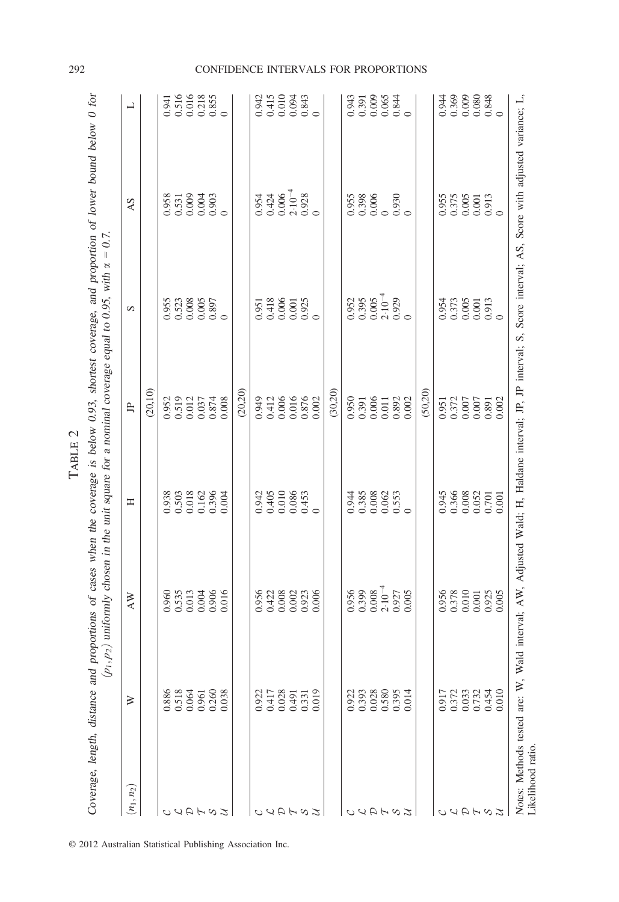| ÿ      |  |
|--------|--|
| r<br>Ľ |  |
| m      |  |
|        |  |

Coverage, length, distance and proportions of cases when the coverage is below 0.93, shortest coverage, and proportion of lower bound below 0 for Coverage, length, distance and proportions of cases when the coverage is below 0.93, shortest coverage, and proportion of lower bound below 0 for

| $(n_1, n_2)$  | ≽              | AW                                                             | Ξ                                                   | 山                                                                                            | S                                                                                    | AS                                                                            | ᆜ                                                            |
|---------------|----------------|----------------------------------------------------------------|-----------------------------------------------------|----------------------------------------------------------------------------------------------|--------------------------------------------------------------------------------------|-------------------------------------------------------------------------------|--------------------------------------------------------------|
|               |                |                                                                |                                                     | (20,10)                                                                                      |                                                                                      |                                                                               |                                                              |
|               | 0.886          |                                                                |                                                     |                                                                                              |                                                                                      |                                                                               | 0.941                                                        |
|               | 0.518<br>0.064 | 0.960<br>0.535<br>0.013<br>0.000<br>0.016                      | 0.938<br>0.503<br>0.018<br>0.162<br>0.396           | $\begin{array}{c} 0.952 \\ 0.519 \\ 0.012 \\ 0.037 \\ 0.037 \\ 0.874 \\ 0.008 \end{array}$   | 0.953<br>0.523<br>0.0005<br>0.000                                                    | 958<br>0.531<br>0.000<br>0.000                                                | 0.516<br>0.016<br>0.218<br>0.855                             |
| AH            |                |                                                                |                                                     |                                                                                              |                                                                                      |                                                                               |                                                              |
|               | 0.961          |                                                                |                                                     |                                                                                              |                                                                                      |                                                                               |                                                              |
| $\infty$      | 0.260<br>0.038 |                                                                |                                                     |                                                                                              |                                                                                      |                                                                               |                                                              |
| $\mathcal{I}$ |                |                                                                |                                                     |                                                                                              |                                                                                      |                                                                               |                                                              |
|               |                |                                                                |                                                     | (20, 20)                                                                                     |                                                                                      |                                                                               |                                                              |
|               | 0.922          |                                                                |                                                     |                                                                                              |                                                                                      |                                                                               |                                                              |
|               | 0.417          |                                                                |                                                     |                                                                                              |                                                                                      |                                                                               |                                                              |
|               | 0.028          | 956<br>0.422<br>0.000<br>0.000<br>0.000                        | $0.942$<br>$0.405$<br>$0.010$<br>$0.085$<br>$0.453$ | 0.949<br>0.412<br>0.006<br>0.007<br>0.002                                                    | 0.951<br>0.418<br>0.000<br>0.925<br>0.925                                            | $0.34$<br>$0.426$<br>$0.06$<br>$0.08$<br>$0.08$                               | 0.943<br>0.415<br>0.0043<br>0.0000                           |
| F             | 0.491          |                                                                |                                                     |                                                                                              |                                                                                      |                                                                               |                                                              |
| $\frac{2}{3}$ | 0.331          |                                                                |                                                     |                                                                                              |                                                                                      |                                                                               |                                                              |
|               | 0.019          |                                                                |                                                     |                                                                                              |                                                                                      |                                                                               |                                                              |
|               |                |                                                                |                                                     | (30, 20)                                                                                     |                                                                                      |                                                                               |                                                              |
|               | 0.922          |                                                                |                                                     |                                                                                              |                                                                                      |                                                                               |                                                              |
| ЧH            | 0.393          | $0.956$<br>$0.399$<br>$0.008$<br>$0.007$<br>$0.005$<br>$0.005$ | $0.944$<br>$0.385$<br>$0.008$<br>$0.553$<br>$0.553$ | 0.950<br>0.391<br>0.006<br>0.001<br>0.002                                                    | $0.355$<br>$0.395$<br>$0.305$<br>$0.303$<br>$0.303$<br>$0.005$                       | 0.955<br>0.398<br>0.000<br>0.930                                              | 0.943<br>0.391<br>0.005<br>0.0044                            |
|               | 0.028          |                                                                |                                                     |                                                                                              |                                                                                      |                                                                               |                                                              |
| H             | 0.580          |                                                                |                                                     |                                                                                              |                                                                                      |                                                                               |                                                              |
| $\infty$      | 0.395<br>0.014 |                                                                |                                                     |                                                                                              |                                                                                      |                                                                               |                                                              |
| $\mathcal{I}$ |                |                                                                |                                                     |                                                                                              |                                                                                      |                                                                               |                                                              |
|               |                |                                                                |                                                     | (50, 20)                                                                                     |                                                                                      |                                                                               |                                                              |
|               | 0.917          |                                                                |                                                     | $\begin{array}{l} 0.951 \\ 0.372 \\ 0.0007 \\ 0.0007 \\ 0.891 \\ 0.002 \\ 0.002 \end{array}$ |                                                                                      |                                                                               |                                                              |
|               | 0.372          | 0.956<br>0.378<br>0.000<br>0.000<br>0.005                      | 0.945<br>0.366<br>0.008<br>0.007<br>0.001           |                                                                                              | $\begin{array}{c} 0.954 \\ 0.373 \\ 0.005 \\ 0.001 \\ 0.913 \\ 0.913 \\ \end{array}$ | $\begin{array}{c} 0.955 \\ 0.375 \\ 0.005 \\ 0.001 \\ 0.913 \\ 0 \end{array}$ | $0.360$<br>$0.360$<br>$0.360$<br>$0.84$<br>$0.360$<br>$0.84$ |
|               | 0.033          |                                                                |                                                     |                                                                                              |                                                                                      |                                                                               |                                                              |
|               | 0.732          |                                                                |                                                     |                                                                                              |                                                                                      |                                                                               |                                                              |
| $\infty$      | 0.454          |                                                                |                                                     |                                                                                              |                                                                                      |                                                                               |                                                              |
| z             | 0.010          |                                                                |                                                     |                                                                                              |                                                                                      |                                                                               |                                                              |

© 2012 Australian Statistical Publishing Association Inc.

# 292 CONFIDENCE INTERVALS FOR PROPORTIONS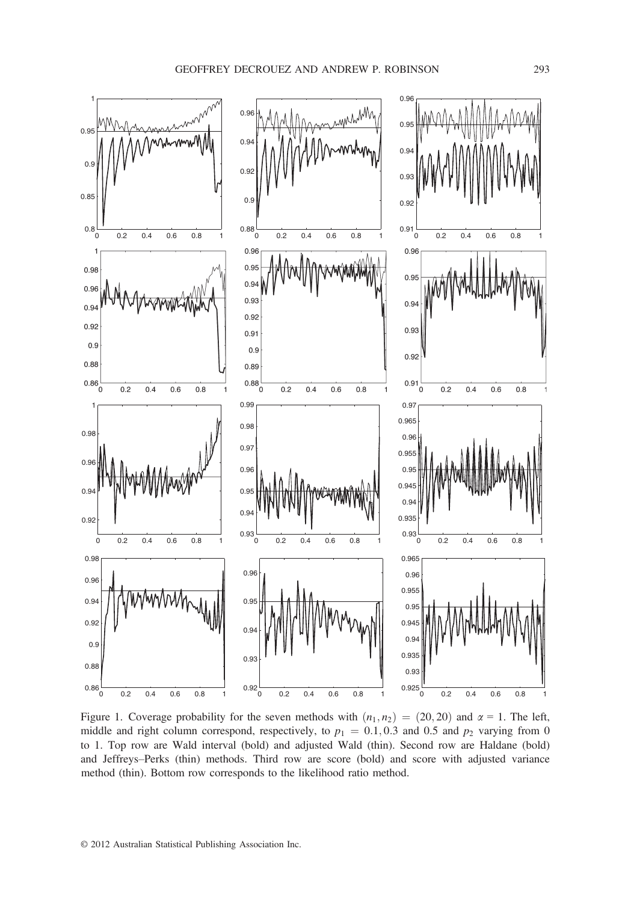

Figure 1. Coverage probability for the seven methods with  $(n_1, n_2) = (20, 20)$  and  $\alpha = 1$ . The left, middle and right column correspond, respectively, to  $p_1 = 0.1, 0.3$  and 0.5 and  $p_2$  varying from 0 to 1. Top row are Wald interval (bold) and adjusted Wald (thin). Second row are Haldane (bold) and Jeffreys–Perks (thin) methods. Third row are score (bold) and score with adjusted variance method (thin). Bottom row corresponds to the likelihood ratio method.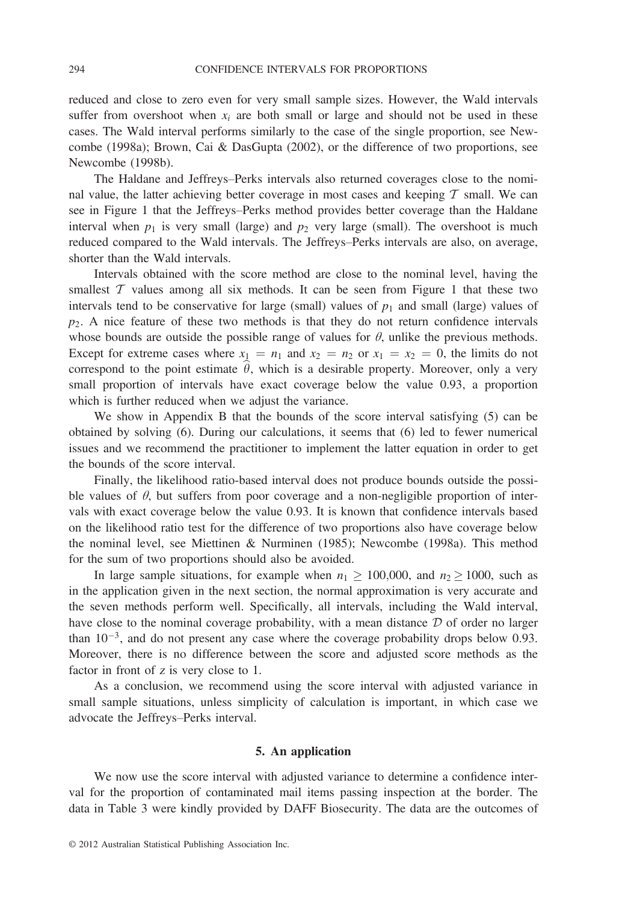reduced and close to zero even for very small sample sizes. However, the Wald intervals suffer from overshoot when  $x_i$  are both small or large and should not be used in these cases. The Wald interval performs similarly to the case of the single proportion, see Newcombe (1998a); Brown, Cai & DasGupta (2002), or the difference of two proportions, see Newcombe (1998b).

The Haldane and Jeffreys–Perks intervals also returned coverages close to the nominal value, the latter achieving better coverage in most cases and keeping  $\tau$  small. We can see in Figure 1 that the Jeffreys–Perks method provides better coverage than the Haldane interval when  $p_1$  is very small (large) and  $p_2$  very large (small). The overshoot is much reduced compared to the Wald intervals. The Jeffreys–Perks intervals are also, on average, shorter than the Wald intervals.

Intervals obtained with the score method are close to the nominal level, having the smallest  $T$  values among all six methods. It can be seen from Figure 1 that these two intervals tend to be conservative for large (small) values of  $p_1$  and small (large) values of  $p_2$ . A nice feature of these two methods is that they do not return confidence intervals whose bounds are outside the possible range of values for  $\theta$ , unlike the previous methods. Except for extreme cases where  $x_1 = n_1$  and  $x_2 = n_2$  or  $x_1 = x_2 = 0$ , the limits do not correspond to the point estimate  $\theta$ , which is a desirable property. Moreover, only a very small proportion of intervals have exact coverage below the value 0.93, a proportion which is further reduced when we adjust the variance.

We show in Appendix B that the bounds of the score interval satisfying (5) can be obtained by solving (6). During our calculations, it seems that (6) led to fewer numerical issues and we recommend the practitioner to implement the latter equation in order to get the bounds of the score interval.

Finally, the likelihood ratio-based interval does not produce bounds outside the possible values of  $\theta$ , but suffers from poor coverage and a non-negligible proportion of intervals with exact coverage below the value 0.93. It is known that confidence intervals based on the likelihood ratio test for the difference of two proportions also have coverage below the nominal level, see Miettinen & Nurminen (1985); Newcombe (1998a). This method for the sum of two proportions should also be avoided.

In large sample situations, for example when  $n_1 \ge 100,000$ , and  $n_2 \ge 1000$ , such as in the application given in the next section, the normal approximation is very accurate and the seven methods perform well. Specifically, all intervals, including the Wald interval, have close to the nominal coverage probability, with a mean distance  $D$  of order no larger than  $10^{-3}$ , and do not present any case where the coverage probability drops below 0.93. Moreover, there is no difference between the score and adjusted score methods as the factor in front of <sup>z</sup> is very close to 1.

As a conclusion, we recommend using the score interval with adjusted variance in small sample situations, unless simplicity of calculation is important, in which case we advocate the Jeffreys–Perks interval.

## 5. An application

We now use the score interval with adjusted variance to determine a confidence interval for the proportion of contaminated mail items passing inspection at the border. The data in Table 3 were kindly provided by DAFF Biosecurity. The data are the outcomes of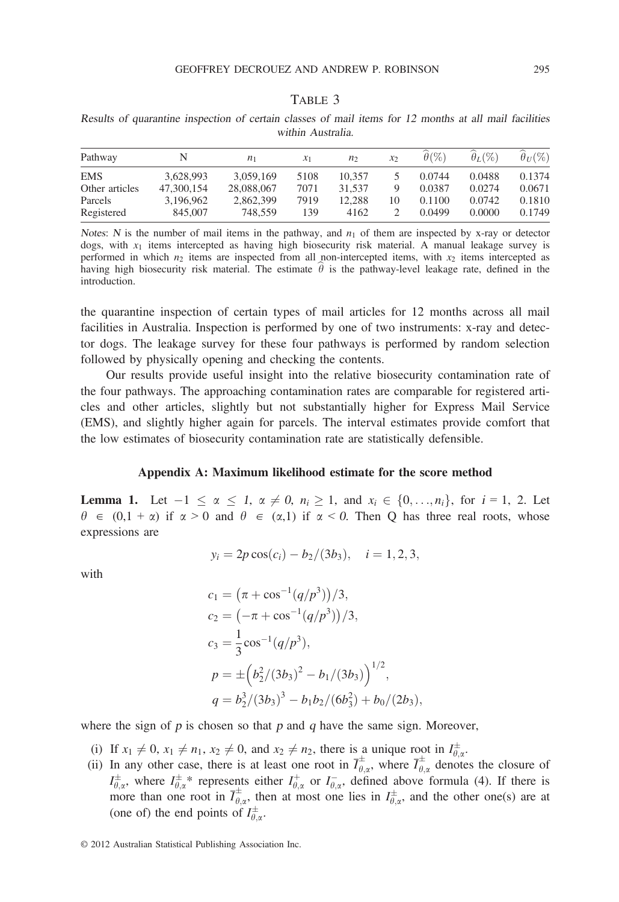#### TABLE 3

Results of quarantine inspection of certain classes of mail items for 12 months at all mail facilities within Australia.

| Pathway        | N          | $n_{1}$    | $\chi_1$ | n <sub>2</sub> | $\mathcal{X}$ | $\theta$ (%) | $\theta_L(\%)$ | $\theta_{U}(\%)$ |
|----------------|------------|------------|----------|----------------|---------------|--------------|----------------|------------------|
| <b>EMS</b>     | 3.628.993  | 3.059.169  | 5108     | 10.357         |               | 0.0744       | 0.0488         | 0.1374           |
| Other articles | 47,300,154 | 28,088,067 | 7071     | 31.537         |               | 0.0387       | 0.0274         | 0.0671           |
| Parcels        | 3.196.962  | 2.862.399  | 7919     | 12.288         | 10            | 0.1100       | 0.0742         | 0.1810           |
| Registered     | 845,007    | 748.559    | 139      | 4162           |               | 0.0499       | 0.0000         | 0.1749           |

Notes: N is the number of mail items in the pathway, and  $n_1$  of them are inspected by x-ray or detector dogs, with  $x_1$  items intercepted as having high biosecurity risk material. A manual leakage survey is performed in which  $n_2$  items are inspected from all non-intercepted items, with  $x_2$  items intercepted as having high biosecurity risk material. The estimate  $\theta$  is the pathway-level leakage rate, defined in the introduction.

the quarantine inspection of certain types of mail articles for 12 months across all mail facilities in Australia. Inspection is performed by one of two instruments: x-ray and detector dogs. The leakage survey for these four pathways is performed by random selection followed by physically opening and checking the contents.

Our results provide useful insight into the relative biosecurity contamination rate of the four pathways. The approaching contamination rates are comparable for registered articles and other articles, slightly but not substantially higher for Express Mail Service (EMS), and slightly higher again for parcels. The interval estimates provide comfort that the low estimates of biosecurity contamination rate are statistically defensible.

## Appendix A: Maximum likelihood estimate for the score method

**Lemma 1.** Let  $-1 \le \alpha \le 1$ ,  $\alpha \ne 0$ ,  $n_i \ge 1$ , and  $x_i \in \{0, ..., n_i\}$ , for  $i = 1, 2$ . Let  $\theta \in (0,1 + \alpha)$  if  $\alpha > 0$  and  $\theta \in (\alpha,1)$  if  $\alpha < 0$ . Then Q has three real roots, whose expressions are

$$
y_i = 2p \cos(c_i) - b_2/(3b_3), \quad i = 1, 2, 3,
$$

with

$$
c_1 = (\pi + \cos^{-1}(q/p^3))/3,
$$
  
\n
$$
c_2 = (-\pi + \cos^{-1}(q/p^3))/3,
$$
  
\n
$$
c_3 = \frac{1}{3}\cos^{-1}(q/p^3),
$$
  
\n
$$
p = \pm (b_2^2/(3b_3)^2 - b_1/(3b_3))^{1/2},
$$
  
\n
$$
q = b_2^3/(3b_3)^3 - b_1b_2/(6b_3^2) + b_0/(2b_3),
$$

where the sign of  $p$  is chosen so that  $p$  and  $q$  have the same sign. Moreover,

- (i) If  $x_1 \neq 0$ ,  $x_1 \neq n_1$ ,  $x_2 \neq 0$ , and  $x_2 \neq n_2$ , there is a unique root in  $I_{\theta,x}^{\pm}$ .
- (ii) In any other case, there is at least one root in  $\overline{I}_{\theta,\alpha}^+$ , where  $\overline{I}_{\theta,\alpha}^+$  denotes the closure of  $I_{\theta,\alpha}^{\pm}$ , where  $I_{\theta,\alpha}^{\pm}$  represents either  $I_{\theta,\alpha}^{+}$  or  $I_{\theta,\alpha}^{-}$ , defined above formula (4). If there is more than one root in  $\overline{I}_{\theta,\alpha}^{\pm}$ , then at most one lies in  $I_{\theta,\alpha}^{\pm}$ , and the other one(s) are at (one of) the end points of  $I_{\theta,\alpha}^{\pm}$ .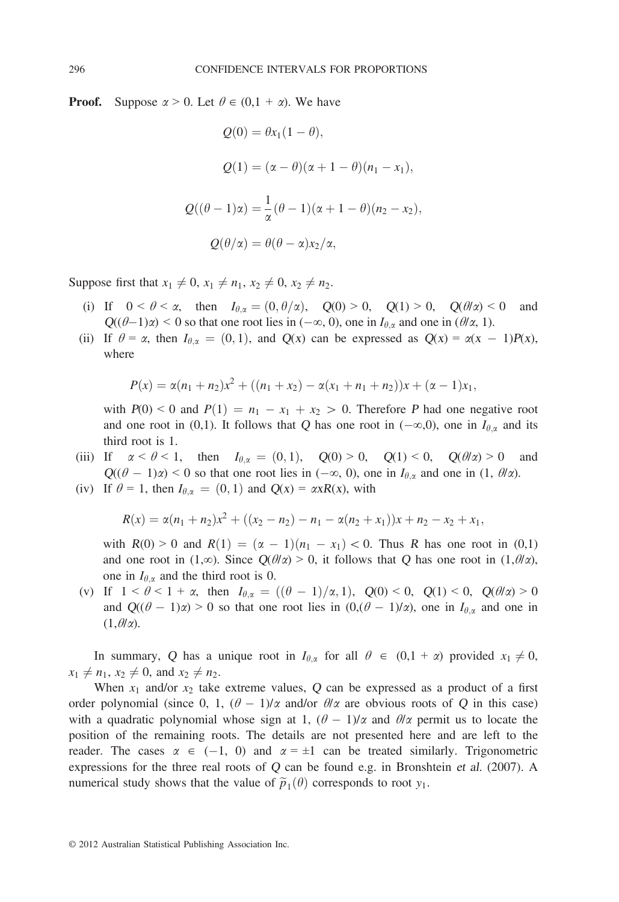**Proof.** Suppose  $\alpha > 0$ . Let  $\theta \in (0, 1 + \alpha)$ . We have

$$
Q(0) = \theta x_1 (1 - \theta),
$$
  
\n
$$
Q(1) = (\alpha - \theta)(\alpha + 1 - \theta)(n_1 - x_1),
$$
  
\n
$$
Q((\theta - 1)\alpha) = \frac{1}{\alpha}(\theta - 1)(\alpha + 1 - \theta)(n_2 - x_2),
$$
  
\n
$$
Q(\theta/\alpha) = \theta(\theta - \alpha)x_2/\alpha,
$$

Suppose first that  $x_1 \neq 0, x_1 \neq n_1, x_2 \neq 0, x_2 \neq n_2$ .

- (i) If  $0 < \theta < \alpha$ , then  $I_{\theta,\alpha} = (0, \theta/\alpha)$ ,  $Q(0) > 0$ ,  $Q(1) > 0$ ,  $Q(\theta/\alpha) < 0$  and  $Q((\theta-1)\alpha) < 0$  so that one root lies in  $(-\infty, 0)$ , one in  $I_{\theta,\alpha}$  and one in  $(\theta/\alpha, 1)$ .
- (ii) If  $\theta = \alpha$ , then  $I_{\theta,\alpha} = (0,1)$ , and  $Q(x)$  can be expressed as  $Q(x) = \alpha(x 1)P(x)$ , where

$$
P(x) = \alpha(n_1 + n_2)x^2 + ((n_1 + x_2) - \alpha(x_1 + n_1 + n_2))x + (\alpha - 1)x_1,
$$

with  $P(0) < 0$  and  $P(1) = n_1 - x_1 + x_2 > 0$ . Therefore P had one negative root and one root in (0,1). It follows that Q has one root in  $(-\infty,0)$ , one in  $I_{\theta,\alpha}$  and its third root is 1.

- (iii) If  $\alpha < \theta < 1$ , then  $I_{\theta,\alpha} = (0,1)$ ,  $Q(0) > 0$ ,  $Q(1) < 0$ ,  $Q(\theta/\alpha) > 0$  and  $Q((\theta - 1)\alpha) < 0$  so that one root lies in  $(-\infty, 0)$ , one in  $I_{\theta,\alpha}$  and one in  $(1, \theta/\alpha)$ .
- (iv) If  $\theta = 1$ , then  $I_{\theta,\alpha} = (0,1)$  and  $Q(x) = \alpha xR(x)$ , with

$$
R(x) = \alpha(n_1 + n_2)x^2 + ((x_2 - n_2) - n_1 - \alpha(n_2 + x_1))x + n_2 - x_2 + x_1,
$$

with  $R(0) > 0$  and  $R(1) = (\alpha - 1)(n_1 - x_1) < 0$ . Thus R has one root in (0,1) and one root in (1,∞). Since  $Q(\theta/\alpha) > 0$ , it follows that Q has one root in (1, $\theta/\alpha$ ), one in  $I_{\theta,\alpha}$  and the third root is 0.

(v) If  $1 < \theta < 1 + \alpha$ , then  $I_{\theta,\alpha} = ((\theta - 1)/\alpha, 1)$ ,  $Q(0) < 0$ ,  $Q(1) < 0$ ,  $Q(\theta/\alpha) > 0$ and  $Q((\theta - 1)\alpha) > 0$  so that one root lies in  $(0, (\theta - 1)/\alpha)$ , one in  $I_{\theta,\alpha}$  and one in  $(1, \theta/\alpha)$ .

In summary, Q has a unique root in  $I_{\theta,\alpha}$  for all  $\theta \in (0,1 + \alpha)$  provided  $x_1 \neq 0$ ,  $x_1 \neq n_1, x_2 \neq 0$ , and  $x_2 \neq n_2$ .

When  $x_1$  and/or  $x_2$  take extreme values, Q can be expressed as a product of a first order polynomial (since 0, 1,  $(\theta - 1)/\alpha$  and/or  $\theta/\alpha$  are obvious roots of Q in this case) with a quadratic polynomial whose sign at 1,  $(\theta - 1)/\alpha$  and  $\theta/\alpha$  permit us to locate the position of the remaining roots. The details are not presented here and are left to the reader. The cases  $\alpha \in (-1, 0)$  and  $\alpha = \pm 1$  can be treated similarly. Trigonometric expressions for the three real roots of Q can be found e.g. in Bronshtein et al. (2007). A numerical study shows that the value of  $\tilde{p}_1(\theta)$  corresponds to root  $y_1$ .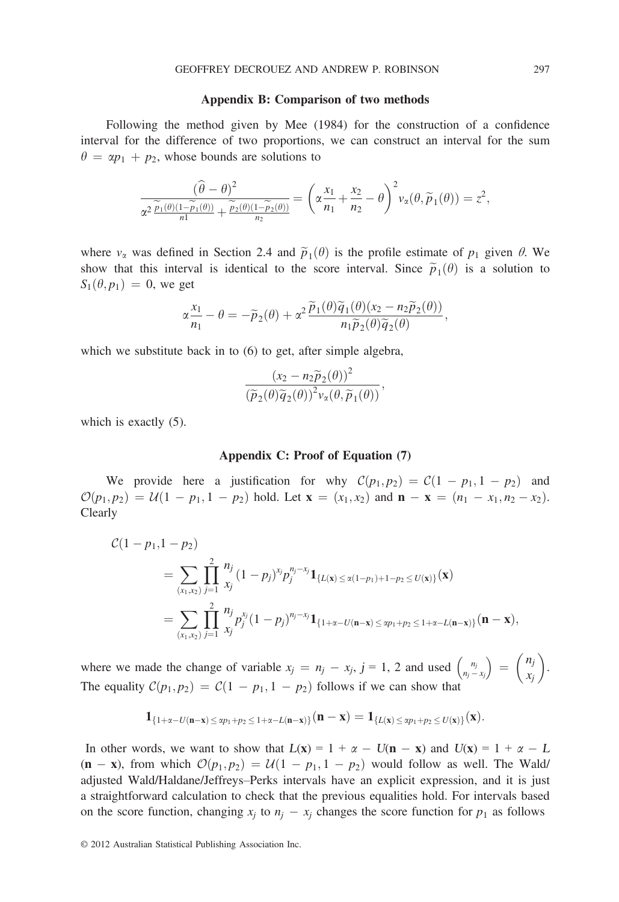#### Appendix B: Comparison of two methods

Following the method given by Mee (1984) for the construction of a confidence interval for the difference of two proportions, we can construct an interval for the sum  $\theta = \alpha p_1 + p_2$ , whose bounds are solutions to

$$
\frac{(\widehat{\theta}-\theta)^2}{\alpha^2 \frac{\widetilde{p}_1(\theta)(1-\widetilde{p}_1(\theta))}{n!} + \frac{\widetilde{p}_2(\theta)(1-\widetilde{p}_2(\theta))}{n_2}} = \left(\alpha \frac{x_1}{n_1} + \frac{x_2}{n_2} - \theta\right)^2 v_\alpha(\theta, \widetilde{p}_1(\theta)) = z^2,
$$

where  $v_\alpha$  was defined in Section 2.4 and  $\tilde{p}_1(\theta)$  is the profile estimate of  $p_1$  given  $\theta$ . We show that this interval is identical to the score interval. Since  $\tilde{p}_1(\theta)$  is a solution to  $S_1(\theta, p_1) = 0$ , we get

$$
\alpha \frac{x_1}{n_1} - \theta = -\widetilde{p}_2(\theta) + \alpha^2 \frac{\widetilde{p}_1(\theta)\widetilde{q}_1(\theta)(x_2 - n_2\widetilde{p}_2(\theta))}{n_1\widetilde{p}_2(\theta)\widetilde{q}_2(\theta)},
$$

which we substitute back in to  $(6)$  to get, after simple algebra,

$$
\frac{(x_2 - n_2\widetilde{p}_2(\theta))^2}{(\widetilde{p}_2(\theta)\widetilde{q}_2(\theta))^2 \nu_{\alpha}(\theta,\widetilde{p}_1(\theta))},
$$

which is exactly (5).

#### Appendix C: Proof of Equation (7)

We provide here a justification for why  $C(p_1, p_2) = C(1 - p_1, 1 - p_2)$  and  $\mathcal{O}(p_1, p_2) = \mathcal{U}(1 - p_1, 1 - p_2)$  hold. Let  $\mathbf{x} = (x_1, x_2)$  and  $\mathbf{n} - \mathbf{x} = (n_1 - x_1, n_2 - x_2)$ . Clearly

$$
\mathcal{C}(1-p_1, 1-p_2)
$$
\n
$$
= \sum_{(x_1, x_2)} \prod_{j=1}^2 \frac{n_j}{x_j} (1-p_j)^{x_j} p_j^{n_j-x_j} \mathbf{1}_{\{L(\mathbf{x}) \le \alpha(1-p_1)+1-p_2 \le U(\mathbf{x})\}}(\mathbf{x})
$$
\n
$$
= \sum_{(x_1, x_2)} \prod_{j=1}^2 \frac{n_j}{x_j} p_j^{x_j} (1-p_j)^{n_j-x_j} \mathbf{1}_{\{1+\alpha-U(\mathbf{n}-\mathbf{x}) \le \alpha p_1+p_2 \le 1+\alpha-L(\mathbf{n}-\mathbf{x})\}}(\mathbf{n}-\mathbf{x}),
$$

where we made the change of variable  $x_j = n_j - x_j$ ,  $j = 1, 2$  and used  $\binom{n_j}{n_j - x_j}$  $\begin{pmatrix} n_i \end{pmatrix}$  $\left( n_j \right)$ xj  $\overline{\phantom{0}}$ . The equality  $C(p_1, p_2) = C(1 - p_1, 1 - p_2)$  follows if we can show that

$$
\mathbf{1}_{\{1+\alpha-U(n-x)\,\leq\, \text{sp}_1+\text{p}_2\,\leq\, 1+\alpha-L(n-x)\}}(n-x)=\mathbf{1}_{\{L(x)\,\leq\, \text{sp}_1+\text{p}_2\,\leq\, U(x)\}}(x).
$$

In other words, we want to show that  $L(x) = 1 + \alpha - U(n - x)$  and  $U(x) = 1 + \alpha - L$  $(n - x)$ , from which  $\mathcal{O}(p_1, p_2) = \mathcal{U}(1 - p_1, 1 - p_2)$  would follow as well. The Wald/ adjusted Wald/Haldane/Jeffreys–Perks intervals have an explicit expression, and it is just a straightforward calculation to check that the previous equalities hold. For intervals based on the score function, changing  $x_i$  to  $n_i - x_i$  changes the score function for  $p_1$  as follows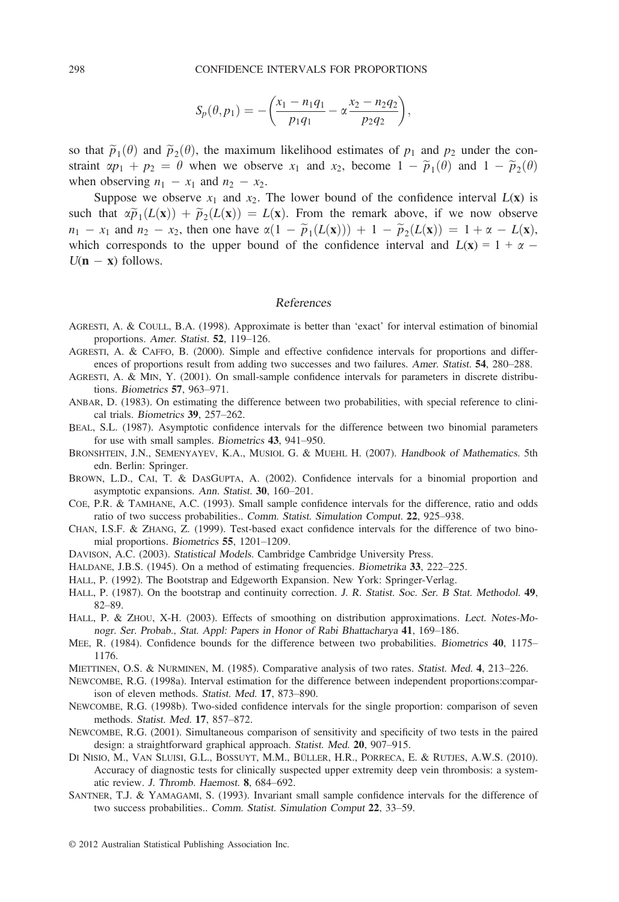$$
S_p(\theta, p_1) = -\bigg(\frac{x_1 - n_1q_1}{p_1q_1} - \alpha \frac{x_2 - n_2q_2}{p_2q_2}\bigg),
$$

so that  $\tilde{p}_1(\theta)$  and  $\tilde{p}_2(\theta)$ , the maximum likelihood estimates of  $p_1$  and  $p_2$  under the constraint  $\alpha p_1 + p_2 = \theta$  when we observe  $x_1$  and  $x_2$ , become  $1 - \widetilde{p}_1(\theta)$  and  $1 - \widetilde{p}_2(\theta)$ when observing  $n_1 - x_1$  and  $n_2 - x_2$ .

Suppose we observe  $x_1$  and  $x_2$ . The lower bound of the confidence interval  $L(x)$  is such that  $\alpha \widetilde{p}_1(L(\mathbf{x})) + \widetilde{p}_2(L(\mathbf{x})) = L(\mathbf{x})$ . From the remark above, if we now observe  $n_1 - x_1$  and  $n_2 - x_2$ , then one have  $\alpha(1 - \widetilde{p}_1(L(\mathbf{x}))) + 1 - \widetilde{p}_2(L(\mathbf{x})) = 1 + \alpha - L(\mathbf{x}),$ which corresponds to the upper bound of the confidence interval and  $L(x) = 1 + \alpha$  $U(n - x)$  follows.

## References

- AGRESTI, A. & COULL, B.A. (1998). Approximate is better than 'exact' for interval estimation of binomial proportions. Amer. Statist. 52, 119–126.
- AGRESTI, A. & CAFFO, B. (2000). Simple and effective confidence intervals for proportions and differences of proportions result from adding two successes and two failures. Amer. Statist. 54, 280–288.
- AGRESTI, A. & MIN, Y. (2001). On small-sample confidence intervals for parameters in discrete distributions. Biometrics 57, 963–971.
- ANBAR, D. (1983). On estimating the difference between two probabilities, with special reference to clinical trials. Biometrics 39, 257–262.
- BEAL, S.L. (1987). Asymptotic confidence intervals for the difference between two binomial parameters for use with small samples. Biometrics 43, 941–950.
- BRONSHTEIN, J.N., SEMENYAYEV, K.A., MUSIOL G. & MUEHL H. (2007). Handbook of Mathematics. 5th edn. Berlin: Springer.
- BROWN, L.D., CAI, T. & DASGUPTA, A. (2002). Confidence intervals for a binomial proportion and asymptotic expansions. Ann. Statist. 30, 160–201.
- COE, P.R. & TAMHANE, A.C. (1993). Small sample confidence intervals for the difference, ratio and odds ratio of two success probabilities.. Comm. Statist. Simulation Comput. 22, 925–938.
- CHAN, I.S.F. & ZHANG, Z. (1999). Test-based exact confidence intervals for the difference of two binomial proportions. Biometrics 55, 1201–1209.
- DAVISON, A.C. (2003). Statistical Models. Cambridge Cambridge University Press.
- HALDANE, J.B.S. (1945). On a method of estimating frequencies. Biometrika 33, 222–225.
- HALL, P. (1992). The Bootstrap and Edgeworth Expansion. New York: Springer-Verlag.
- HALL, P. (1987). On the bootstrap and continuity correction. J. R. Statist. Soc. Ser. <sup>B</sup> Stat. Methodol. 49, 82–89.
- HALL, P. & ZHOU, X-H. (2003). Effects of smoothing on distribution approximations. Lect. Notes-Monogr. Ser. Probab., Stat. Appl: Papers in Honor of Rabi Bhattacharya 41, 169–186.
- MEE, R. (1984). Confidence bounds for the difference between two probabilities. Biometrics 40, 1175– 1176.
- MIETTINEN, O.S. & NURMINEN, M. (1985). Comparative analysis of two rates. Statist. Med. 4, 213–226.
- NEWCOMBE, R.G. (1998a). Interval estimation for the difference between independent proportions:comparison of eleven methods. Statist. Med. 17, 873–890.
- NEWCOMBE, R.G. (1998b). Two-sided confidence intervals for the single proportion: comparison of seven methods. Statist. Med. 17, 857–872.
- NEWCOMBE, R.G. (2001). Simultaneous comparison of sensitivity and specificity of two tests in the paired design: a straightforward graphical approach. Statist. Med. 20, 907–915.
- DI NISIO, M., VAN SLUISI, G.L., BOSSUYT, M.M., BÜLLER, H.R., PORRECA, E. & RUTJES, A.W.S. (2010). Accuracy of diagnostic tests for clinically suspected upper extremity deep vein thrombosis: a systematic review. J. Thromb. Haemost. 8, 684–692.
- SANTNER, T.J. & YAMAGAMI, S. (1993). Invariant small sample confidence intervals for the difference of two success probabilities.. Comm. Statist. Simulation Comput 22, 33–59.